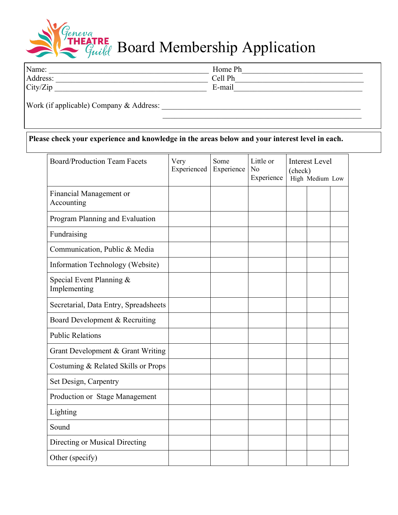

**ETRE** Board Membership Application

| Name:    | Home Ph   |  |
|----------|-----------|--|
| Address: | $Ce11$ Ph |  |
| City/Zip | E-mail    |  |
|          |           |  |

Work (if applicable) Company & Address: \_\_\_\_\_\_\_\_\_\_\_\_\_\_\_\_\_\_\_\_\_\_\_\_\_\_\_\_\_\_\_\_\_\_\_\_\_\_\_\_\_\_\_\_\_\_\_\_\_\_\_

## **Please check your experience and knowledge in the areas below and your interest level in each.**

| <b>Board/Production Team Facets</b>      | Very<br>Experienced | Some<br>Experience | Little or<br>No<br>Experience | <b>Interest Level</b><br>(check)<br>High Medium Low |  |  |
|------------------------------------------|---------------------|--------------------|-------------------------------|-----------------------------------------------------|--|--|
| Financial Management or<br>Accounting    |                     |                    |                               |                                                     |  |  |
| Program Planning and Evaluation          |                     |                    |                               |                                                     |  |  |
| Fundraising                              |                     |                    |                               |                                                     |  |  |
| Communication, Public & Media            |                     |                    |                               |                                                     |  |  |
| Information Technology (Website)         |                     |                    |                               |                                                     |  |  |
| Special Event Planning &<br>Implementing |                     |                    |                               |                                                     |  |  |
| Secretarial, Data Entry, Spreadsheets    |                     |                    |                               |                                                     |  |  |
| Board Development & Recruiting           |                     |                    |                               |                                                     |  |  |
| <b>Public Relations</b>                  |                     |                    |                               |                                                     |  |  |
| Grant Development & Grant Writing        |                     |                    |                               |                                                     |  |  |
| Costuming & Related Skills or Props      |                     |                    |                               |                                                     |  |  |
| Set Design, Carpentry                    |                     |                    |                               |                                                     |  |  |
| Production or Stage Management           |                     |                    |                               |                                                     |  |  |
| Lighting                                 |                     |                    |                               |                                                     |  |  |
| Sound                                    |                     |                    |                               |                                                     |  |  |
| Directing or Musical Directing           |                     |                    |                               |                                                     |  |  |
| Other (specify)                          |                     |                    |                               |                                                     |  |  |